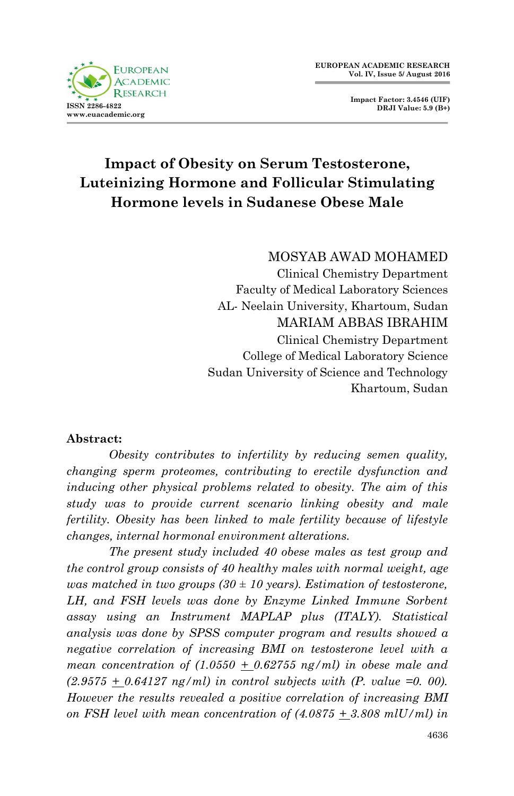

**Impact Factor: 3.4546 (UIF) DRJI Value: 5.9 (B+)**

# **Impact of Obesity on Serum Testosterone, Luteinizing Hormone and Follicular Stimulating Hormone levels in Sudanese Obese Male**

# MOSYAB AWAD MOHAMED

Clinical Chemistry Department Faculty of Medical Laboratory Sciences AL- Neelain University, Khartoum, Sudan MARIAM ABBAS IBRAHIM Clinical Chemistry Department College of Medical Laboratory Science Sudan University of Science and Technology Khartoum, Sudan

#### **Abstract:**

*Obesity contributes to infertility by reducing semen quality, changing sperm proteomes, contributing to erectile dysfunction and inducing other physical problems related to obesity. The aim of this study was to provide current scenario linking obesity and male fertility. Obesity has been linked to male fertility because of lifestyle changes, internal hormonal environment alterations.* 

*The present study included 40 obese males as test group and the control group consists of 40 healthy males with normal weight, age was matched in two groups (30 ± 10 years). Estimation of testosterone, LH, and FSH levels was done by Enzyme Linked Immune Sorbent assay using an Instrument MAPLAP plus (ITALY). Statistical analysis was done by SPSS computer program and results showed a negative correlation of increasing BMI on testosterone level with a mean concentration of (1.0550 + 0.62755 ng/ml) in obese male and*   $(2.9575 + 0.64127 \text{ ng/ml})$  in control subjects with (P. value =0. 00). *However the results revealed a positive correlation of increasing BMI on FSH level with mean concentration of (4.0875 + 3.808 mlU/ml) in*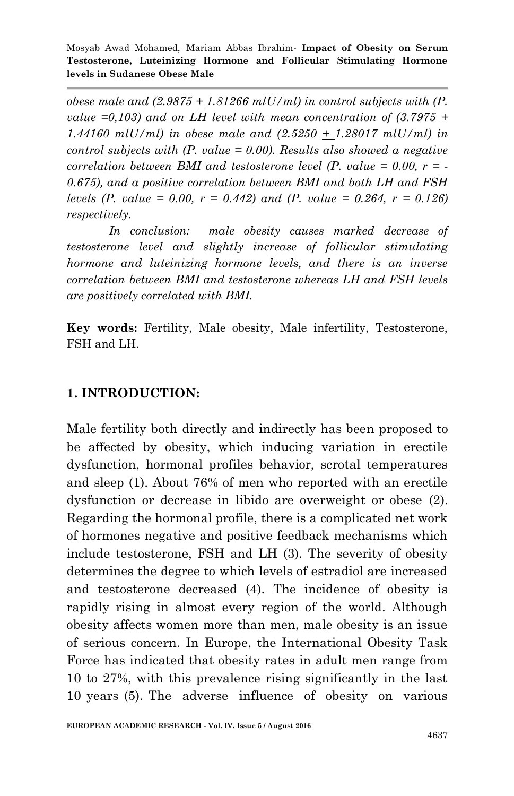*obese male and (2.9875 + 1.81266 mlU/ml) in control subjects with (P. value*  $=0.103$  *and on LH level with mean concentration of*  $(3.7975 +$ *1.44160 mlU/ml) in obese male and (2.5250 + 1.28017 mlU/ml) in control subjects with (P. value = 0.00). Results also showed a negative correlation between BMI and testosterone level (P. value = 0.00, r = - 0.675), and a positive correlation between BMI and both LH and FSH levels (P. value = 0.00, r = 0.442) and (P. value = 0.264, r = 0.126) respectively.*

*In conclusion: male obesity causes marked decrease of testosterone level and slightly increase of follicular stimulating hormone and luteinizing hormone levels, and there is an inverse correlation between BMI and testosterone whereas LH and FSH levels are positively correlated with BMI.*

**Key words:** Fertility, Male obesity, Male infertility, Testosterone, FSH and LH.

#### **1. INTRODUCTION:**

Male fertility both directly and indirectly has been proposed to be affected by obesity, which inducing variation in erectile dysfunction, hormonal profiles behavior, scrotal temperatures and sleep (1). About 76% of men who reported with an erectile dysfunction or decrease in libido are overweight or obese (2). Regarding the hormonal profile, there is a complicated net work of hormones negative and positive feedback mechanisms which include testosterone, FSH and LH (3). The severity of obesity determines the degree to which levels of estradiol are increased and testosterone decreased (4). The incidence of obesity is rapidly rising in almost every region of the world. Although obesity affects women more than men, male obesity is an issue of serious concern. In Europe, the International Obesity Task Force has indicated that obesity rates in adult men range from 10 to 27%, with this prevalence rising significantly in the last 10 years (5). The adverse influence of obesity on various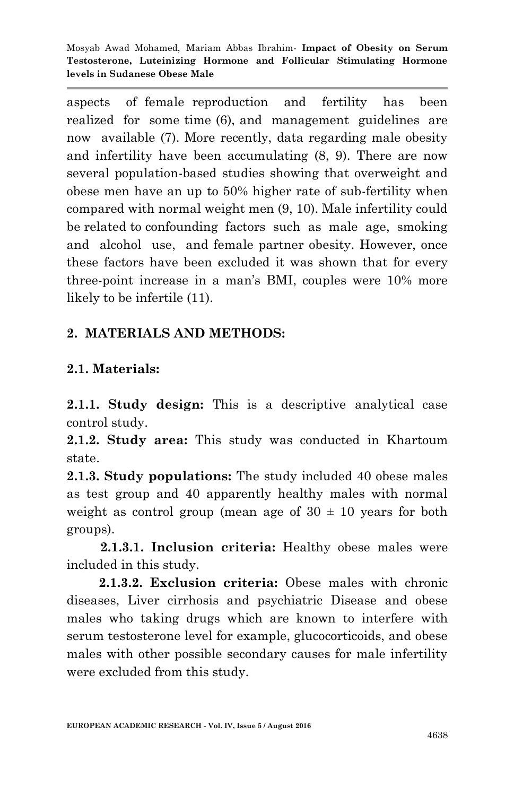aspects of female reproduction and fertility has been realized for some time (6), and management guidelines are now available (7). More recently, data regarding male obesity and infertility have been accumulating (8, 9). There are now several population-based studies showing that overweight and obese men have an up to 50% higher rate of sub-fertility when compared with normal weight men (9, 10). Male infertility could be related to confounding factors such as male age, smoking and alcohol use, and female partner obesity. However, once these factors have been excluded it was shown that for every three-point increase in a man's BMI, couples were 10% more likely to be infertile (11).

## **2. MATERIALS AND METHODS:**

## **2.1. Materials:**

**2.1.1. Study design:** This is a descriptive analytical case control study.

**2.1.2. Study area:** This study was conducted in Khartoum state.

**2.1.3. Study populations:** The study included 40 obese males as test group and 40 apparently healthy males with normal weight as control group (mean age of  $30 \pm 10$  years for both groups).

 **2.1.3.1. Inclusion criteria:** Healthy obese males were included in this study.

 **2.1.3.2. Exclusion criteria:** Obese males with chronic diseases, Liver cirrhosis and psychiatric Disease and obese males who taking drugs which are known to interfere with serum testosterone level for example, glucocorticoids, and obese males with other possible secondary causes for male infertility were excluded from this study.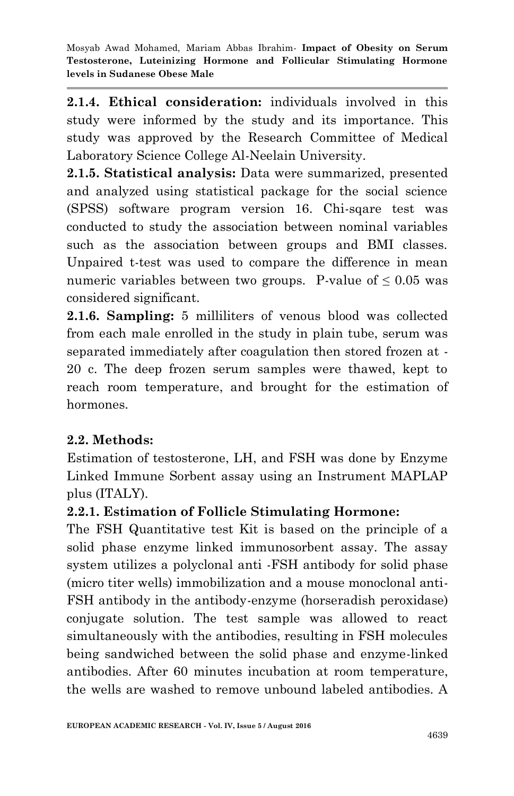**2.1.4. Ethical consideration:** individuals involved in this study were informed by the study and its importance. This study was approved by the Research Committee of Medical Laboratory Science College Al-Neelain University.

**2.1.5. Statistical analysis:** Data were summarized, presented and analyzed using statistical package for the social science (SPSS) software program version 16. Chi-sqare test was conducted to study the association between nominal variables such as the association between groups and BMI classes. Unpaired t-test was used to compare the difference in mean numeric variables between two groups. P-value of  $\leq 0.05$  was considered significant.

**2.1.6. Sampling:** 5 milliliters of venous blood was collected from each male enrolled in the study in plain tube, serum was separated immediately after coagulation then stored frozen at - 20 c. The deep frozen serum samples were thawed, kept to reach room temperature, and brought for the estimation of hormones.

# **2.2. Methods:**

Estimation of testosterone, LH, and FSH was done by Enzyme Linked Immune Sorbent assay using an Instrument MAPLAP plus (ITALY).

#### **2.2.1. Estimation of Follicle Stimulating Hormone:**

The FSH Quantitative test Kit is based on the principle of a solid phase enzyme linked immunosorbent assay. The assay system utilizes a polyclonal anti -FSH antibody for solid phase (micro titer wells) immobilization and a mouse monoclonal anti-FSH antibody in the antibody-enzyme (horseradish peroxidase) conjugate solution. The test sample was allowed to react simultaneously with the antibodies, resulting in FSH molecules being sandwiched between the solid phase and enzyme-linked antibodies. After 60 minutes incubation at room temperature, the wells are washed to remove unbound labeled antibodies. A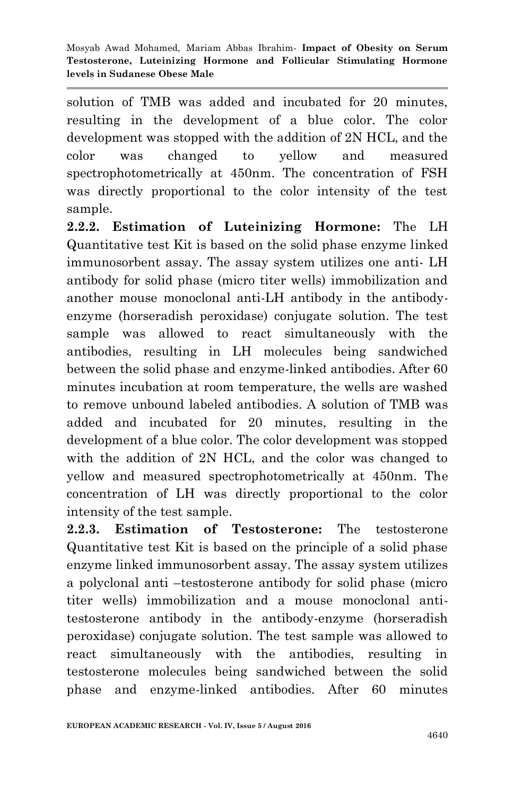solution of TMB was added and incubated for 20 minutes. resulting in the development of a blue color. The color development was stopped with the addition of 2N HCL, and the color was changed to yellow and measured spectrophotometrically at 450nm. The concentration of FSH was directly proportional to the color intensity of the test sample.

**2.2.2. Estimation of Luteinizing Hormone:** The LH Quantitative test Kit is based on the solid phase enzyme linked immunosorbent assay. The assay system utilizes one anti- LH antibody for solid phase (micro titer wells) immobilization and another mouse monoclonal anti-LH antibody in the antibodyenzyme (horseradish peroxidase) conjugate solution. The test sample was allowed to react simultaneously with the antibodies, resulting in LH molecules being sandwiched between the solid phase and enzyme-linked antibodies. After 60 minutes incubation at room temperature, the wells are washed to remove unbound labeled antibodies. A solution of TMB was added and incubated for 20 minutes, resulting in the development of a blue color. The color development was stopped with the addition of 2N HCL, and the color was changed to yellow and measured spectrophotometrically at 450nm. The concentration of LH was directly proportional to the color intensity of the test sample.

**2.2.3. Estimation of Testosterone:** The testosterone Quantitative test Kit is based on the principle of a solid phase enzyme linked immunosorbent assay. The assay system utilizes a polyclonal anti –testosterone antibody for solid phase (micro titer wells) immobilization and a mouse monoclonal antitestosterone antibody in the antibody-enzyme (horseradish peroxidase) conjugate solution. The test sample was allowed to react simultaneously with the antibodies, resulting in testosterone molecules being sandwiched between the solid phase and enzyme-linked antibodies. After 60 minutes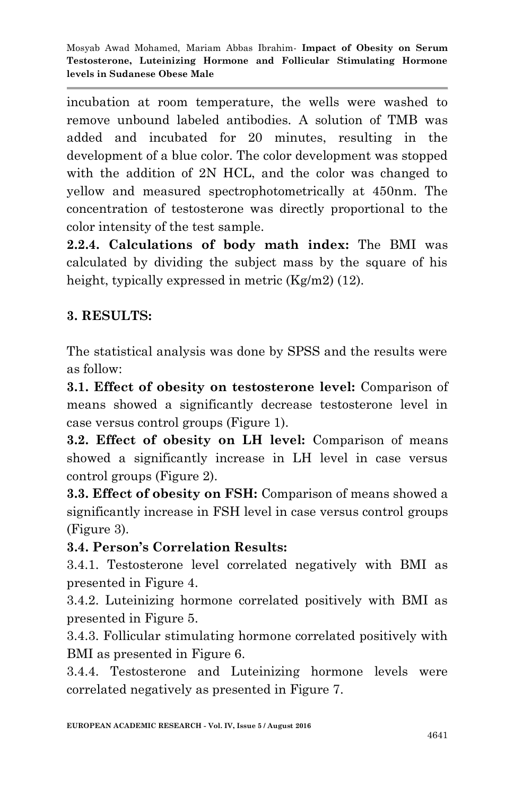incubation at room temperature, the wells were washed to remove unbound labeled antibodies. A solution of TMB was added and incubated for 20 minutes, resulting in the development of a blue color. The color development was stopped with the addition of 2N HCL, and the color was changed to yellow and measured spectrophotometrically at 450nm. The concentration of testosterone was directly proportional to the color intensity of the test sample.

**2.2.4. Calculations of body math index:** The BMI was calculated by dividing the subject mass by the square of his height, typically expressed in metric (Kg/m2) (12).

# **3. RESULTS:**

The statistical analysis was done by SPSS and the results were as follow:

**3.1. Effect of obesity on testosterone level:** Comparison of means showed a significantly decrease testosterone level in case versus control groups (Figure 1).

**3.2. Effect of obesity on LH level:** Comparison of means showed a significantly increase in LH level in case versus control groups (Figure 2).

**3.3. Effect of obesity on FSH:** Comparison of means showed a significantly increase in FSH level in case versus control groups (Figure 3).

# **3.4. Person's Correlation Results:**

3.4.1. Testosterone level correlated negatively with BMI as presented in Figure 4.

3.4.2. Luteinizing hormone correlated positively with BMI as presented in Figure 5.

3.4.3. Follicular stimulating hormone correlated positively with BMI as presented in Figure 6.

3.4.4. Testosterone and Luteinizing hormone levels were correlated negatively as presented in Figure 7.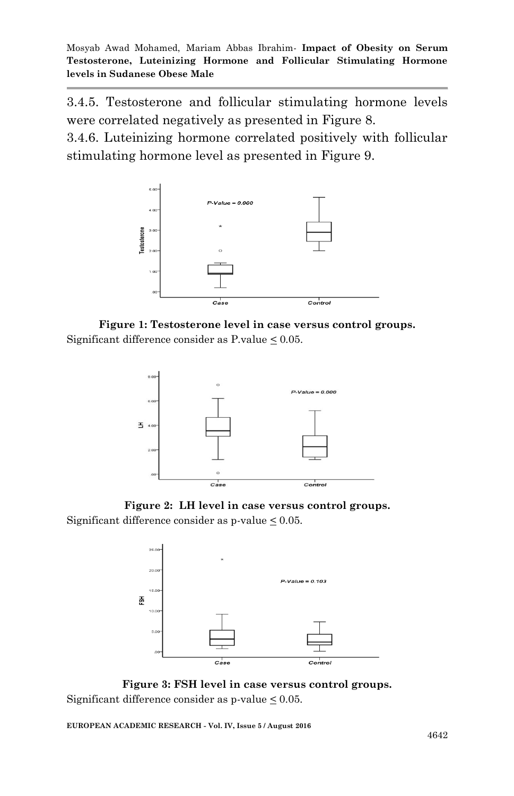3.4.5. Testosterone and follicular stimulating hormone levels were correlated negatively as presented in Figure 8.

3.4.6. Luteinizing hormone correlated positively with follicular stimulating hormone level as presented in Figure 9.



**Figure 1: Testosterone level in case versus control groups.** Significant difference consider as P.value  $\leq 0.05$ .



**Figure 2: LH level in case versus control groups.** Significant difference consider as p-value  $\leq 0.05$ .



**Figure 3: FSH level in case versus control groups.** Significant difference consider as  $p$ -value  $\leq 0.05$ .

**EUROPEAN ACADEMIC RESEARCH - Vol. IV, Issue 5 / August 2016**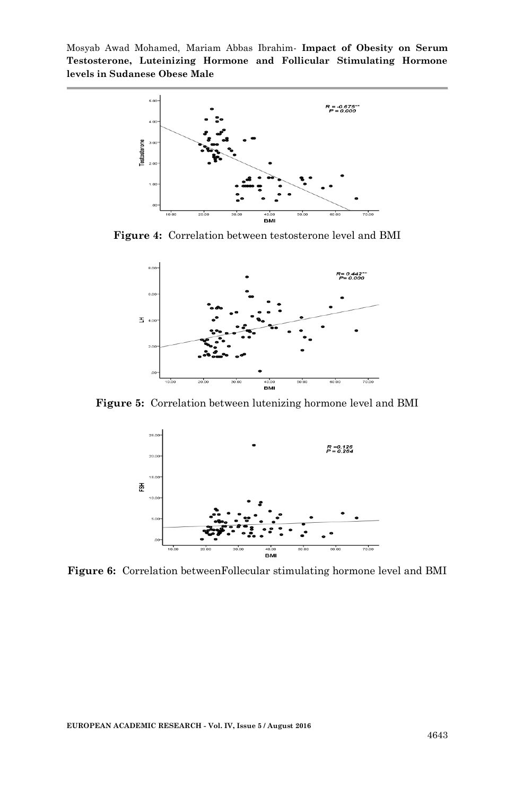

**Figure 4:** Correlation between testosterone level and BMI



**Figure 5:** Correlation between lutenizing hormone level and BMI



**Figure 6:** Correlation betweenFollecular stimulating hormone level and BMI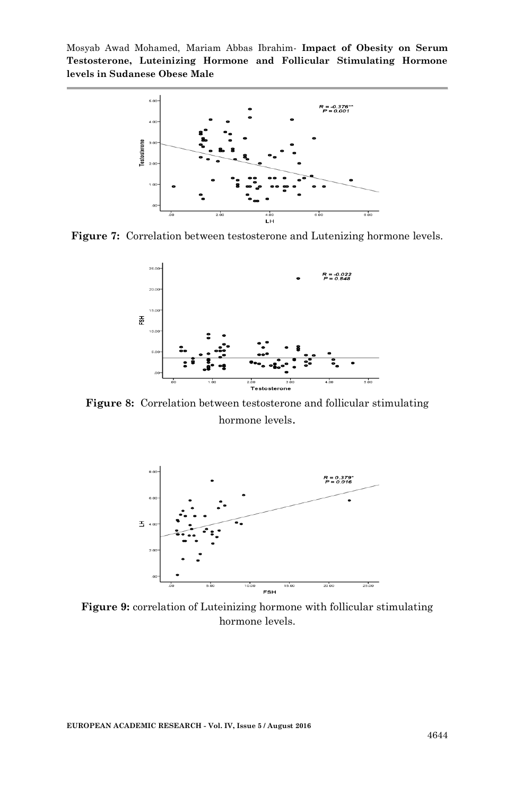

**Figure 7:** Correlation between testosterone and Lutenizing hormone levels.



**Figure 8:** Correlation between testosterone and follicular stimulating hormone levels.



**Figure 9:** correlation of Luteinizing hormone with follicular stimulating hormone levels.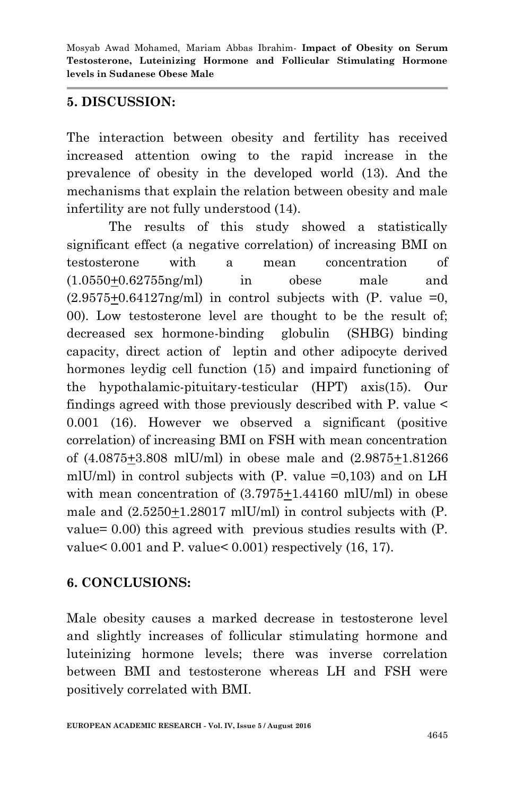#### **5. DISCUSSION:**

The interaction between obesity and fertility has received increased attention owing to the rapid increase in the prevalence of obesity in the developed world (13). And the mechanisms that explain the relation between obesity and male infertility are not fully understood (14).

The results of this study showed a statistically significant effect (a negative correlation) of increasing BMI on testosterone with a mean concentration of (1.0550+0.62755ng/ml) in obese male and  $(2.9575+0.64127)$  in control subjects with  $(P.$  value  $=0$ , 00). Low testosterone level are thought to be the result of; decreased sex hormone-binding globulin (SHBG) binding capacity, direct action of leptin and other adipocyte derived hormones leydig cell function (15) and impaird functioning of the hypothalamic-pituitary-testicular (HPT) axis(15). Our findings agreed with those previously described with P. value < 0.001 (16). However we observed a significant (positive correlation) of increasing BMI on FSH with mean concentration of (4.0875+3.808 mlU/ml) in obese male and (2.9875+1.81266 mlU/ml) in control subjects with  $(P.$  value  $=0,103)$  and on LH with mean concentration of  $(3.7975+1.44160 \text{ mlU/ml})$  in obese male and (2.5250+1.28017 mlU/ml) in control subjects with (P. value= 0.00) this agreed with previous studies results with (P. value< 0.001 and P. value< 0.001) respectively (16, 17).

# **6. CONCLUSIONS:**

Male obesity causes a marked decrease in testosterone level and slightly increases of follicular stimulating hormone and luteinizing hormone levels; there was inverse correlation between BMI and testosterone whereas LH and FSH were positively correlated with BMI.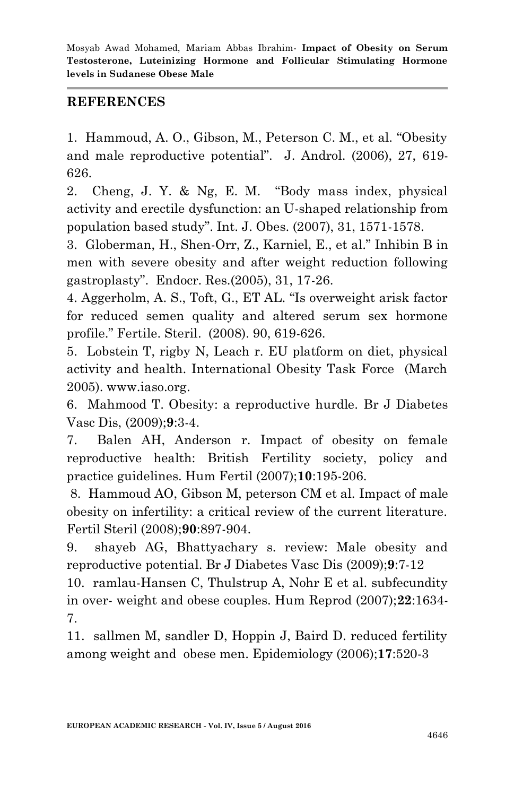#### **REFERENCES**

1. Hammoud, A. O., Gibson, M., Peterson C. M., et al. "Obesity and male reproductive potential". J. Androl. (2006), 27, 619- 626.

2. Cheng, J. Y. & Ng, E. M. "Body mass index, physical activity and erectile dysfunction: an U-shaped relationship from population based study". Int. J. Obes. (2007), 31, 1571-1578.

3. Globerman, H., Shen-Orr, Z., Karniel, E., et al." Inhibin B in men with severe obesity and after weight reduction following gastroplasty". Endocr. Res.(2005), 31, 17-26.

4. Aggerholm, A. S., Toft, G., ET AL. "Is overweight arisk factor for reduced semen quality and altered serum sex hormone profile." Fertile. Steril. (2008). 90, 619-626.

5. Lobstein T, rigby N, Leach r. EU platform on diet, physical activity and health. International Obesity Task Force (March 2005). www.iaso.org.

6. Mahmood T. Obesity: a reproductive hurdle. Br J Diabetes Vasc Dis, (2009);**9**:3-4.

7. Balen AH, Anderson r. Impact of obesity on female reproductive health: British Fertility society, policy and practice guidelines. Hum Fertil (2007);**10**:195-206.

8. Hammoud AO, Gibson M, peterson CM et al. Impact of male obesity on infertility: a critical review of the current literature. Fertil Steril (2008);**90**:897-904.

9. shayeb AG, Bhattyachary s. review: Male obesity and reproductive potential. Br J Diabetes Vasc Dis (2009);**9**:7-12

10. ramlau-Hansen C, Thulstrup A, Nohr E et al. subfecundity in over- weight and obese couples. Hum Reprod (2007);**22**:1634- 7.

11. sallmen M, sandler D, Hoppin J, Baird D. reduced fertility among weight and obese men. Epidemiology (2006);**17**:520-3